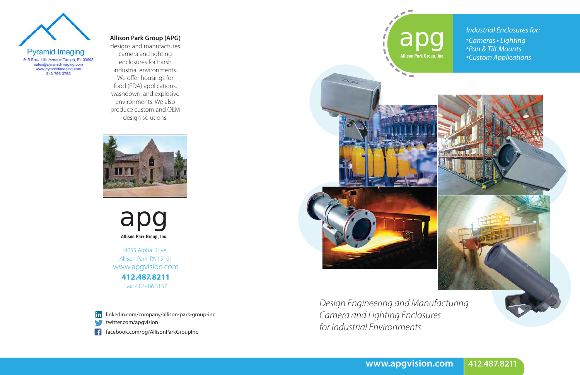

*Camera and Lighting Enclosures for Industrial Environments*



apg **Allison Park Group, Inc.**





#### **Allison Park Group (APG)**

designs and manufactures camera and lighting enclosures for harsh industrial environments. We offer housings for food (FDA) applications, washdown, and explosive environments. We also produce custom and OEM design solutions.



4055 Alpha Drive, Allison Park, PA 15101 www.apgvision.com **412.487.8211** Fax: 412.486.3157



linkedin.com/company/allison-park-group-inc

twitter.com/apgvision

facebook.com/pg/AllisonParkGroupInc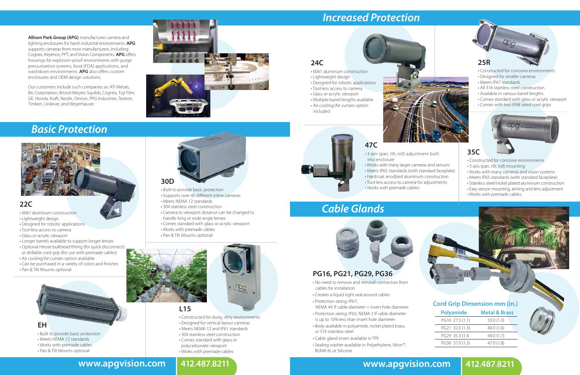# *Basic Protection*



# *Increased Protection*

### **22C**

• 6061 aluminum construction

- Lightweight design
- Designed for robotic applications
- Tool-less access to camera
- Glass or acrylic viewport
- Longer barrels available to support longer lenses
- Optional Hirose bulkhead fitting (for quick disconnect)
- or drillable cord grip (for use with premade cables) • Air cooling/Air curtain option available
- Can be purchased in a variety of colors and finishes • Pan & Tilt Mounts optional



#### **30D**

• Built to provide basic protection

- Supports over 40 different inline cameras
- Meets NEMA 12 standards
- 304 stainless steel construction
- Camera to viewport distance can be changed to handle long or wide angle lenses
- Comes standard with glass or acrylic viewport
- Works with premade cables
- Pan & Tilt Mounts optional



#### **L15**

- Constructed for dusty, dirty environments
- Designed for vertical layout cameras
- Meets NEMA 12 and IP61 standards
- 304 stainless steel construction
- Comes standard with glass or
- polycarbonate viewport
- Works with premade cables

- **EH**
- Built to provide basic protection
- Meets NEMA 12 standards
- Works with premade cables
- Pan & Tilt Mounts optional
- 



**24C**

• 6061 aluminum construction

• Lightweight design

• Designed for robotic applications • Tool-less access to camera • Glass or acrylic viewport • Multiple barrel lengths available • Air cooling/Air curtain option

included

### **25R**

- Constructed for corrosive environments
- Designed for smaller cameras
- Meets IP67 standards
- All 316 stainless steel construction
- Available in various barrel lengths
- Comes standard with glass or acrylic viewport
- Comes with two IP68 rated cord grips





#### **35C**

- Constructed for corrosive environments
- 3 axis (pan, tilt, roll) mounting
- Works with many cameras and vision systems
- Meets IP65 standards (with standard faceplate)
- Stainless steel/nickel plated aluminum construction
- Easy sensor mounting, aiming and lens adjustment
- Works with premade cables

### **47C**

- 3 axis (pan, tilt, roll) adjustment built into enclosure
- Works with many larger cameras and sensors
- Meets IP65 standards (with standard faceplate)
- Hardcoat anodized aluminum construction
- Tool-less access to camera for adjustments
- Works with premade cables

# *Cable Glands*



### **PG16, PG21, PG29, PG36**

- No need to remove and reinstall connectors from cables for installation
- Creates a liquid tight seal around cables
- Protection rating: IP67;
- NEMA 4X If cable diameter = insert hole diameter
- Protection rating: IP65; NEMA 3 If cable diameter is up to 10% less than insert hole diameter
- Body available in polyamide, nickel plated brass, or 316 stainless steel
- Cable gland insert available in TPE
- Sealing washer available in Polyethylene, Viton™, BUNA-N, or Silicone

| <b>Polyamide</b> | <b>Metal &amp; Brass</b> |
|------------------|--------------------------|
| PG16 27.5 (1.1)  | 33.0(1.3)                |
| PG21 32.0 (1.3)  | 40.0(1.6)                |
| PG29 35.3 (1.4   | 44.0(1.7)                |
| PG36 37.0 (1.5)  | 47.0(1.8)                |

### **Cord Grip Dimension mm (in.)**

### **www.apgvision.com 412.487.8211 www.apgvision.com 412.487.8211**



**Allison Park Group (APG)** manufactures camera and lighting enclosures for harsh industrial environments. **APG** supports cameras from most manufacturers, including: Cognex, Keyence, PPT, and Vision Components. **APG** offers housings for explosion-proof environments with purge pressurization systems, food (FDA) applications, and washdown environments. **APG** also offers custom enclosures and OEM design solutions.

Our customers include such companies as: ATI Metals, Bic Corporation, Bristol-Meyers Squibb, Cognex, Fuji Film, GE, Honda, Kraft, Nestle, Omron, PPG Industries, Textron, Timken, Unilever, and Weyerhauser.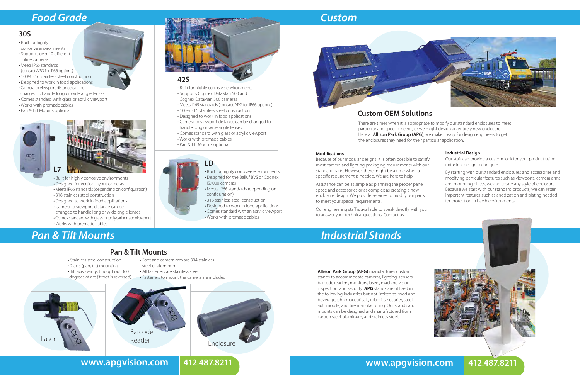# *Pan & Tilt Mounts*

# *Custom*



# *Industrial Stands*

Because of our modular designs, it is often possible to satisfy most camera and lighting packaging requirements with our standard parts. However, there might be a time when a specific requirement is needed. We are here to help.

# Laser & Reader Reader Enclosure Barcode Reader

Assistance can be as simple as planning the proper panel space and accessories or as complex as creating a new enclosure design. We provide services to modify our parts to meet your special requirements.

Our engineering staff is available to speak directly with you to answer your technical questions. Contact us.

• Tilt axis swings throughout 360 degrees of arc (if foot is reversed).



#### **30S**

- Built for highly corrosive environments
- Supports over 40 different inline cameras
- Meets IP65 standards (contact APG for IP66 options)
- 100% 316 stainless steel construction
- Designed to work in food applications
- Camera to viewport distance can be
- changed to handle long or wide angle lenses
- Comes standard with glass or acrylic viewport
- Works with premade cables
- Pan & Tilt Mounts optional





COL

- Built for highly corrosive environments • Designed for vertical layout cameras • Meets IP66 standards (depending on configuration) • 316 stainless steel construction
- Designed to work in food applications • Camera to viewport distance can be
- 
- changed to handle long or wide angle lenses • Comes standard with glass or polycarbonate viewport
- Works with premade cables



#### • Built for highly corrosive environments • Designed for the Balluf BVS or Cognex IS7000 cameras

- Meets IP66 standards (depending on configuration)
- 316 stainless steel construction
- Designed to work in food applications
- Comes standard with an acrylic viewport
- Works with premade cables

# *Food Grade*

### **42S**

#### • Stainless steel construction • 2 axis (pan, tilt) mounting **Pan & Tilt Mounts**

- Built for highly corrosive environments
- Supports Cognex DataMan 500 and Cognex DataMan 300 cameras
- Meets IP65 standards (contact APG for IP66 options)
- 100% 316 stainless steel construction
- Designed to work in food applications
- Camera to viewport distance can be changed to handle long or wide angle lenses
- Comes standard with glass or acrylic viewport
- Works with premade cables
- Pan & Tilt Mounts optional

• Foot and camera arm are 304 stainless

steel or aluminum



**www.apgvision.com 412.487.8211 www.apgvision.com 412.487.8211**



### **Custom OEM Solutions**

#### **Industrial Design**

Our staff can provide a custom look for your product using industrial design techniques.

By starting with our standard enclosures and accessories and modifying particular features such as viewports, camera arms, and mounting plates, we can create any style of enclosure. Because we start with our standard products, we can retain important features such as anodization and plating needed for protection in harsh environments.



There are times when it is appropriate to modify our standard enclosures to meet particular and specific needs, or we might design an entirely new enclosure. Here at **Allison Park Group (APG)**, we make it easy for design engineers to get the enclosures they need for their particular application.

#### **Modifications**

**Allison Park Group (APG)** manufactures custom stands to accommodate cameras, lighting, sensors, barcode readers, monitors, lasers, machine vision inspection, and security. **APG** stands are utilized in the following industries but not limited to: food and beverage, pharmaceuticals, robotics, security, steel, automobile, and tire manufacturing. Our stands and mounts can be designed and manufactured from carbon steel, aluminum, and stainless steel.